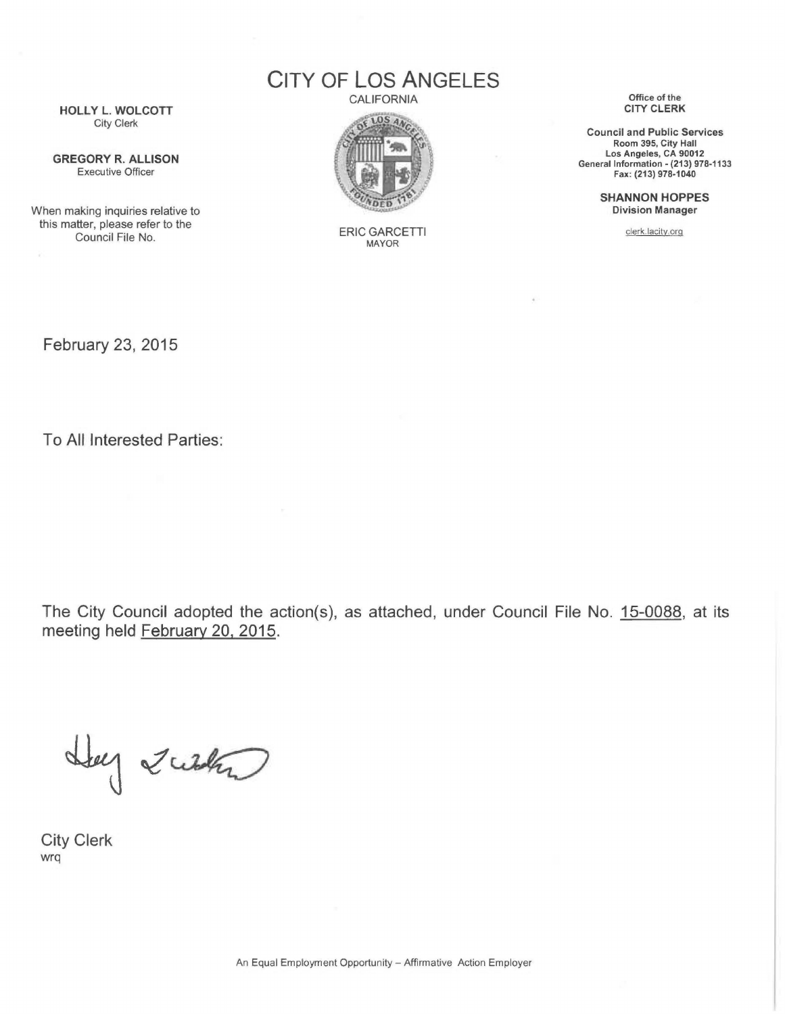CITY OF LOS ANGELES

**CALIFORNIA** 



ERIC GARCETTI MAYOR

Office of the CITY CLERK

Council and Public Services Room 395, City Hall Los Angeles, CA 90012 General Information- (213) 978-1133 Fax: (213) 978-1040

> SHANNON HOPPES Division Manager

> > clerk.lacity.org

HOLLY L. WOLCOTT City Clerk

GREGORY R. ALLISON Executive Officer

When making inquiries relative to this matter, please refer to the Council File No.

February 23, 2015

To All Interested Parties:

The City Council adopted the action(s), as attached, under Council File No. 15-0088, at its meeting held February 20, 2015.

Hey Zusta

City Clerk wrq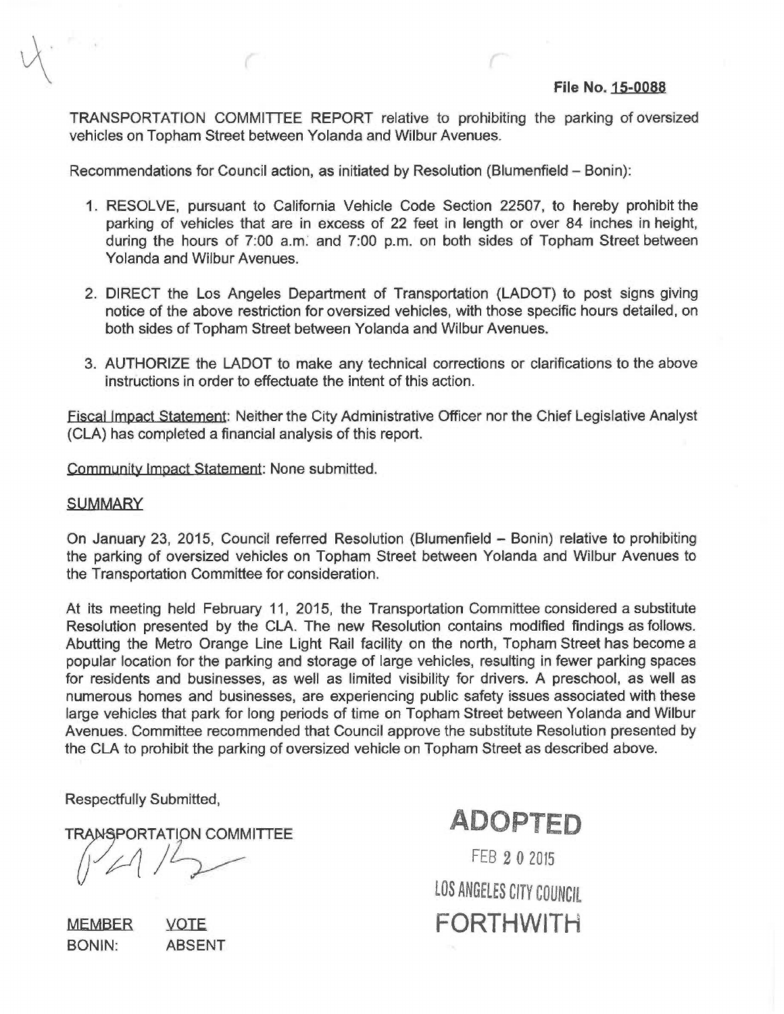TRANSPORTATION COMMITTEE REPORT relative to prohibiting the parking of oversized vehicles on Topham Street between Yolanda and Wilbur Avenues.

Recommendations for Council action, as initiated by Resolution (Biumenfield- Bonin):

- 1. RESOLVE, pursuant to California Vehicle Code Section 22507, to hereby prohibit the parking of vehicles that are in excess of 22 feet in length or over 84 inches in height, during the hours of 7:00 a.m. and 7:00 p.m. on both sides of Topham Street between Yolanda and Wilbur Avenues.
- 2. DIRECT the Los Angeles Department of Transportation (LADOT) to post signs giving notice of the above restriction for oversized vehicles, with those specific hours detailed, on both sides of Topham Street between Yolanda and Wilbur Avenues.
- 3. AUTHORIZE the LADOT to make any technical corrections or clarifications to the above instructions in order to effectuate the intent of this action.

Fiscal Impact Statement: Neither the City Administrative Officer nor the Chief Legislative Analyst (CLA) has completed a financial analysis of this report.

Community Impact Statement: None submitted.

## **SUMMARY**

On January 23, 2015, Council referred Resolution (Blumenfield - Bonin) relative to prohibiting the parking of oversized vehicles on Topham Street between Yolanda and Wilbur Avenues to the Transportation Committee for consideration.

At its meeting held February 11, 2015, the Transportation Committee considered a substitute Resolution presented by the CLA. The new Resolution contains modified findings as follows. Abutting the Metro Orange Line Light Rail facility on the north, Topham Street has become a popular location for the parking and storage of large vehicles, resulting in fewer parking spaces for residents and businesses, as well as limited visibility for drivers. A preschool, as well as numerous homes and businesses, are experiencing public safety issues associated with these large vehicles that park for long periods of time on Topham Street between Yolanda and Wilbur Avenues. Committee recommended that Council approve the substitute Resolution presented by the CLA to prohibit the parking of oversized vehicle on Topham Street as described above.

Respectfully Submitted,

**TRANSPORTATION COMMITTEE** 

MEMBER BONIN: VOTE ABSENT